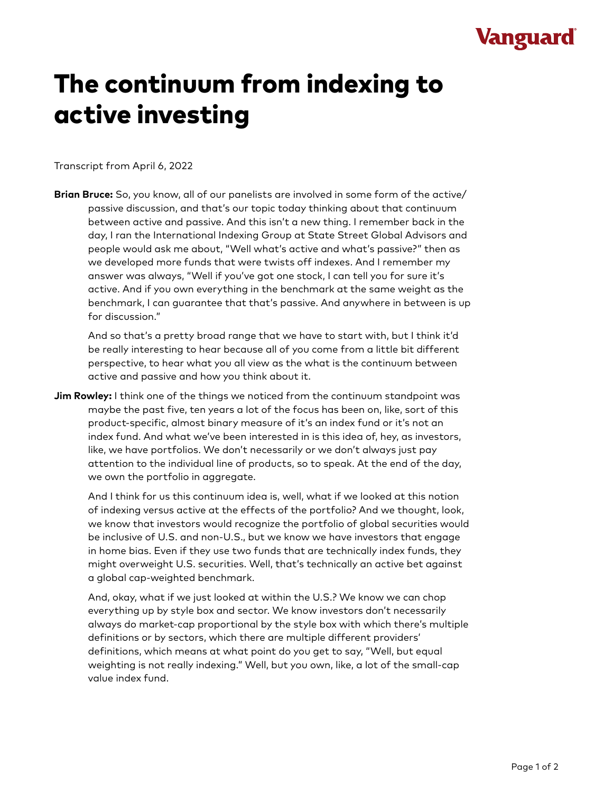## Vanguard

## The continuum from indexing to active investing

Transcript from April 6, 2022

**Brian Bruce:** So, you know, all of our panelists are involved in some form of the active/ passive discussion, and that's our topic today thinking about that continuum between active and passive. And this isn't a new thing. I remember back in the day, I ran the International Indexing Group at State Street Global Advisors and people would ask me about, "Well what's active and what's passive?" then as we developed more funds that were twists off indexes. And I remember my answer was always, "Well if you've got one stock, I can tell you for sure it's active. And if you own everything in the benchmark at the same weight as the benchmark, I can guarantee that that's passive. And anywhere in between is up for discussion."

And so that's a pretty broad range that we have to start with, but I think it'd be really interesting to hear because all of you come from a little bit different perspective, to hear what you all view as the what is the continuum between active and passive and how you think about it.

**Jim Rowley:** I think one of the things we noticed from the continuum standpoint was maybe the past five, ten years a lot of the focus has been on, like, sort of this product-specific, almost binary measure of it's an index fund or it's not an index fund. And what we've been interested in is this idea of, hey, as investors, like, we have portfolios. We don't necessarily or we don't always just pay attention to the individual line of products, so to speak. At the end of the day, we own the portfolio in aggregate.

And I think for us this continuum idea is, well, what if we looked at this notion of indexing versus active at the effects of the portfolio? And we thought, look, we know that investors would recognize the portfolio of global securities would be inclusive of U.S. and non-U.S., but we know we have investors that engage in home bias. Even if they use two funds that are technically index funds, they might overweight U.S. securities. Well, that's technically an active bet against a global cap-weighted benchmark.

And, okay, what if we just looked at within the U.S.? We know we can chop everything up by style box and sector. We know investors don't necessarily always do market-cap proportional by the style box with which there's multiple definitions or by sectors, which there are multiple different providers' definitions, which means at what point do you get to say, "Well, but equal weighting is not really indexing." Well, but you own, like, a lot of the small-cap value index fund.